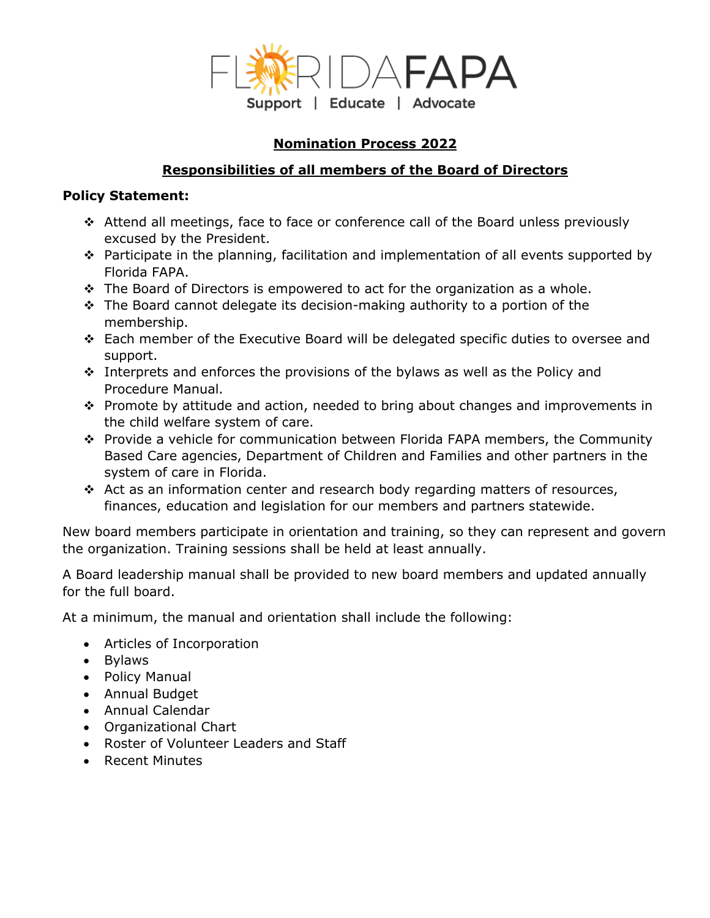

# **Nomination Process 2022**

## **Responsibilities of all members of the Board of Directors**

## **Policy Statement:**

- Attend all meetings, face to face or conference call of the Board unless previously excused by the President.
- $\hat{P}$  Participate in the planning, facilitation and implementation of all events supported by Florida FAPA.
- $\div$  The Board of Directors is empowered to act for the organization as a whole.
- \* The Board cannot delegate its decision-making authority to a portion of the membership.
- Each member of the Executive Board will be delegated specific duties to oversee and support.
- $\cdot$  Interprets and enforces the provisions of the bylaws as well as the Policy and Procedure Manual.
- \* Promote by attitude and action, needed to bring about changes and improvements in the child welfare system of care.
- Provide a vehicle for communication between Florida FAPA members, the Community Based Care agencies, Department of Children and Families and other partners in the system of care in Florida.
- $\div$  Act as an information center and research body regarding matters of resources, finances, education and legislation for our members and partners statewide.

New board members participate in orientation and training, so they can represent and govern the organization. Training sessions shall be held at least annually.

A Board leadership manual shall be provided to new board members and updated annually for the full board.

At a minimum, the manual and orientation shall include the following:

- Articles of Incorporation
- Bylaws
- Policy Manual
- Annual Budget
- Annual Calendar
- Organizational Chart
- Roster of Volunteer Leaders and Staff
- Recent Minutes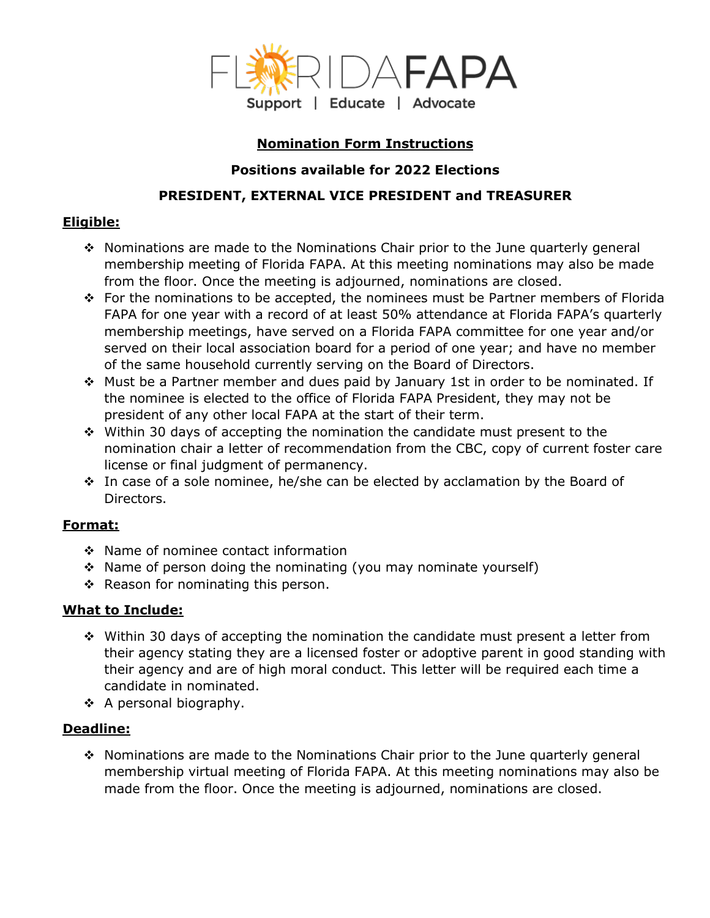

## **Nomination Form Instructions**

## **Positions available for 2022 Elections**

# **PRESIDENT, EXTERNAL VICE PRESIDENT and TREASURER**

## **Eligible:**

- Nominations are made to the Nominations Chair prior to the June quarterly general membership meeting of Florida FAPA. At this meeting nominations may also be made from the floor. Once the meeting is adjourned, nominations are closed.
- For the nominations to be accepted, the nominees must be Partner members of Florida FAPA for one year with a record of at least 50% attendance at Florida FAPA's quarterly membership meetings, have served on a Florida FAPA committee for one year and/or served on their local association board for a period of one year; and have no member of the same household currently serving on the Board of Directors.
- Must be a Partner member and dues paid by January 1st in order to be nominated. If the nominee is elected to the office of Florida FAPA President, they may not be president of any other local FAPA at the start of their term.
- Within 30 days of accepting the nomination the candidate must present to the nomination chair a letter of recommendation from the CBC, copy of current foster care license or final judgment of permanency.
- In case of a sole nominee, he/she can be elected by acclamation by the Board of Directors.

# **Format:**

- $\div$  Name of nominee contact information
- \* Name of person doing the nominating (you may nominate yourself)
- $\div$  Reason for nominating this person.

# **What to Include:**

- $\div$  Within 30 days of accepting the nomination the candidate must present a letter from their agency stating they are a licensed foster or adoptive parent in good standing with their agency and are of high moral conduct. This letter will be required each time a candidate in nominated.
- $\div$  A personal biography.

#### **Deadline:**

 $\div$  Nominations are made to the Nominations Chair prior to the June quarterly general membership virtual meeting of Florida FAPA. At this meeting nominations may also be made from the floor. Once the meeting is adjourned, nominations are closed.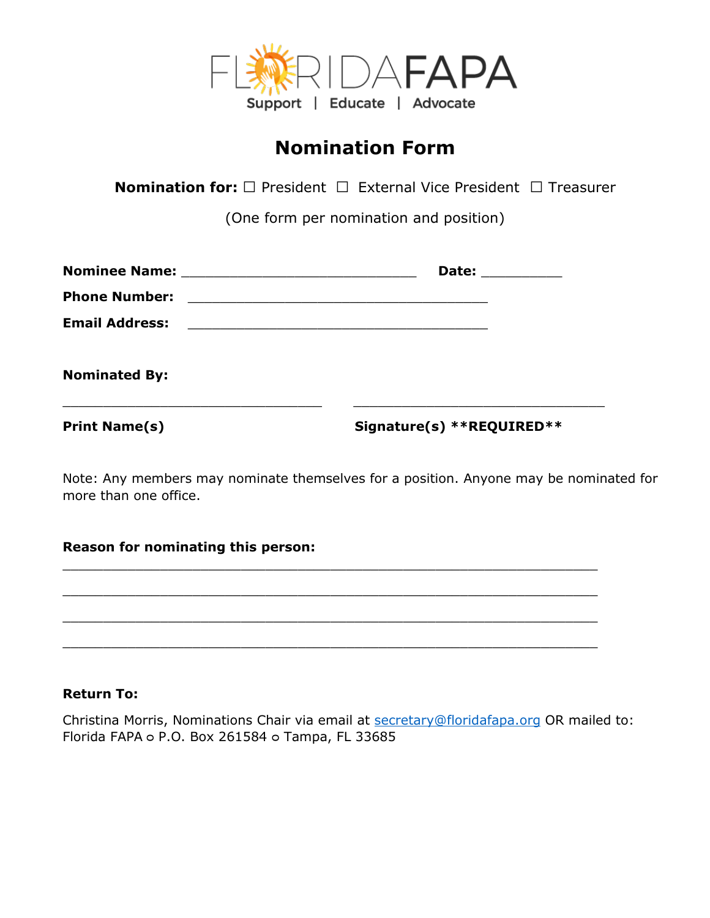

# **Nomination Form**

**Nomination for:** □ President □ External Vice President □ Treasurer

(One form per nomination and position)

|                       | Date: __________                              |
|-----------------------|-----------------------------------------------|
| <b>Phone Number:</b>  | <u> 1980 - Andrea Andrew Maria (h. 1980).</u> |
| <b>Email Address:</b> |                                               |
| <b>Nominated By:</b>  |                                               |
| <b>Print Name(s)</b>  | Signature(s) **REQUIRED**                     |

Note: Any members may nominate themselves for a position. Anyone may be nominated for more than one office.

#### **Reason for nominating this person:**



#### **Return To:**

Christina Morris, Nominations Chair via email at [secretary@floridafapa.org](mailto:secretary@floridafapa.org) OR mailed to: Florida FAPA o P.O. Box 261584 o Tampa, FL 33685